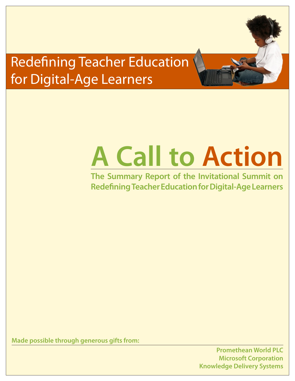## Redefining Teacher Education for Digital-Age Learners

# **A Call to Action**

**The Summary Report of the Invitational Summit on Redefining Teacher Education for Digital-Age Learners**

**Made possible through generous gifts from:**

**Promethean World PLC Microsoft Corporation Knowledge Delivery Systems**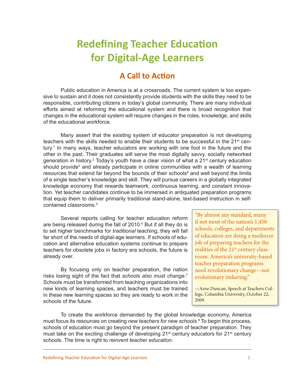## **Redefining Teacher Education for Digital-Age Learners**

## **A Call to Action**

Public education in America is at a crossroads. The current system is too expensive to sustain and it does not consistently provide students with the skills they need to be responsible, contributing citizens in today's global community. There are many individual efforts aimed at reforming the educational system and there is broad recognition that changes in the educational system will require changes in the roles, knowledge, and skills of the educational workforce.

Many assert that the existing system of educator preparation is not developing teachers with the skills needed to enable their students to be successful in the  $21<sup>st</sup>$  century.<sup>1</sup> In many ways, teacher educators are working with one foot in the future and the other in the past. Their graduates will serve the most digitally savvy, socially networked generation in history.<sup>2</sup> Today's youth have a clear vision of what a 21<sup>st</sup> century education should provide<sup>3</sup> and already participate in online communities with a wealth of learning resources that extend far beyond the bounds of their schools<sup>4</sup> and well beyond the limits of a single teacher's knowledge and skill. They will pursue careers in a globally integrated knowledge economy that rewards teamwork, continuous learning, and constant innovation. Yet teacher candidates continue to be immersed in antiquated preparation programs that equip them to deliver primarily traditional stand-alone, text-based instruction in selfcontained classrooms<sup>5</sup>

Several reports calling for teacher education reform are being released during the fall of 2010.<sup>6</sup> But if all they do is to set higher benchmarks for *traditional* teaching, they will fall far short of the needs of digital-age learners. If schools of education and alternative education systems continue to prepare teachers for obsolete jobs in factory era schools, the future is already over.

By focusing only on teacher preparation, the nation risks losing sight of the fact that *schools also must change.*<sup>7</sup> Schools must be transformed from teaching organizations into new kinds of learning spaces, and teachers must be trained in these new learning spaces so they are ready to work in the schools of the future.

"By almost any standard, many if not most of the nation's 1,450 schools, colleges, and departments of education are doing a mediocre job of preparing teachers for the realities of the 21<sup>st</sup> century classroom. America's university-based teacher preparation programs need revolutionary change—not evolutionary tinkering."

—Arne Duncan, Speech at Teachers College, Columbia University, October 22, 2009.

To create the workforce demanded by the global knowledge economy, America must focus its resources on creating *new teachers for new schools*. 8 To begin this process, schools of education must go beyond the present paradigm of teacher preparation. They must take on the exciting challenge of developing 21<sup>st</sup> century educators for 21<sup>st</sup> century schools. The time is right to *reinvent teacher education*.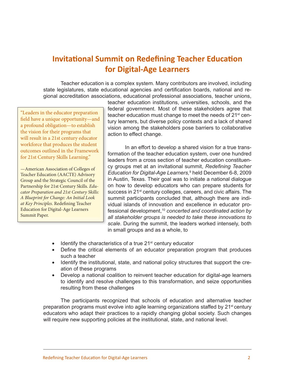## **Invitational Summit on Redefining Teacher Education for Digital-Age Learners**

Teacher education is a complex system. Many contributors are involved, including state legislatures, state educational agencies and certification boards, national and regional accreditation associations, educational professional associations, teacher unions,

"Leaders in the educator preparation field have a unique opportunity—and a profound obligation—to establish the vision for their programs that will result in a 21st century educator workforce that produces the student outcomes outlined in the Framework for 21st Century Skills Learning."

—American Association of Colleges of Teacher Education (AACTE) Advisory Group and the Strategic Council of the Partnership for 21st Century Skills. *Educator Preparation and 21st Century Skills: A Blueprint for Change: An Initial Look at Key Principles*. Redefining Teacher Education for Digital-Age Learners Summit Paper.

teacher education institutions, universities, schools, and the federal government. Most of these stakeholders agree that teacher education must change to meet the needs of 21<sup>st</sup> century learners, but diverse policy contexts and a lack of shared vision among the stakeholders pose barriers to collaborative action to effect change.

In an effort to develop a shared vision for a true transformation of the teacher education system, over one hundred leaders from a cross section of teacher education constituency groups met at an invitational summit, *Redefining Teacher Education for Digital-Age Learners,*<sup>9</sup> held December 6-8, 2009 in Austin, Texas. Their goal was to initiate a national dialogue on how to develop educators who can prepare students for success in 21<sup>st</sup> century colleges, careers, and civic affairs. The summit participants concluded that, although there are individual islands of innovation and excellence in educator professional development,10 *concerted and coordinated action by all stakeholder groups is needed to take these innovations to scale*. During the summit, the leaders worked intensely, both in small groups and as a whole, to

- $\bullet$  Identify the characteristics of a true 21<sup>st</sup> century educator
- Define the critical elements of an educator preparation program that produces such a teacher
- Identify the institutional, state, and national policy structures that support the creation of these programs
- Develop a national coalition to reinvent teacher education for digital-age learners to identify and resolve challenges to this transformation, and seize opportunities resulting from these challenges

The participants recognized that schools of education and alternative teacher preparation programs must evolve into agile learning organizations staffed by 21<sup>st</sup> century educators who adapt their practices to a rapidly changing global society. Such changes will require new supporting policies at the institutional, state, and national level.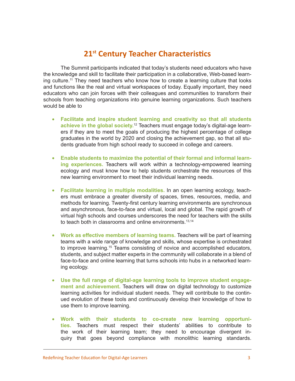## **21st Century Teacher Characteristics**

The Summit participants indicated that today's students need educators who have the knowledge and skill to facilitate their participation in a collaborative, Web-based learning culture.11 They need teachers who know how to create a learning culture that looks and functions like the real and virtual workspaces of today. Equally important, they need educators who can join forces with their colleagues and communities to transform their schools from teaching organizations into genuine learning organizations. Such teachers would be able to

- • **Facilitate and inspire student learning and creativity so that all students achieve in the global society.**<sup>12</sup> Teachers must engage today's digital-age learners if they are to meet the goals of producing the highest percentage of college graduates in the world by 2020 and closing the achievement gap, so that all students graduate from high school ready to succeed in college and careers.
- **Enable students to maximize the potential of their formal and informal learning experiences.** Teachers will work within a technology-empowered learning ecology and must know how to help students orchestrate the resources of this new learning environment to meet their individual learning needs.
- • **Facilitate learning in multiple modalities.** In an open learning ecology, teachers must embrace a greater diversity of spaces, times, resources, media, and methods for learning. Twenty-first century learning environments are synchronous and asynchronous, face-to-face and virtual, local and global. The rapid growth of virtual high schools and courses underscores the need for teachers with the skills to teach both in classrooms and online environments.<sup>13,14</sup>
- • **Work as effective members of learning teams.** Teachers will be part of learning teams with a wide range of knowledge and skills, whose expertise is orchestrated to improve learning.<sup>15</sup> Teams consisting of novice and accomplished educators, students, and subject matter experts in the community will collaborate in a blend of face-to-face and online learning that turns schools into hubs in a networked learning ecology.
- Use the full range of digital-age learning tools to improve student engage**ment and achievement.** Teachers will draw on digital technology to customize learning activities for individual student needs. They will contribute to the continued evolution of these tools and continuously develop their knowledge of how to use them to improve learning.
- **Work with their students to co-create new learning opportunities.** Teachers must respect their students' abilities to contribute to the work of their learning team; they need to encourage divergent inquiry that goes beyond compliance with monolithic learning standards.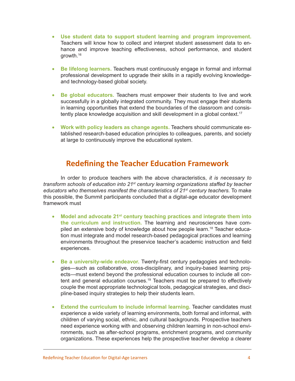- • **Use student data to support student learning and program improvement.**  Teachers will know how to collect and interpret student assessment data to enhance and improve teaching effectiveness, school performance, and student growth.16
- • **Be lifelong learners.** Teachers must continuously engage in formal and informal professional development to upgrade their skills in a rapidly evolving knowledgeand technology-based global society.
- • **Be global educators.** Teachers must empower their students to live and work successfully in a globally integrated community. They must engage their students in learning opportunities that extend the boundaries of the classroom and consistently place knowledge acquisition and skill development in a global context.<sup>17</sup>
- • **Work with policy leaders as change agents.** Teachers should communicate established research-based education principles to colleagues, parents, and society at large to continuously improve the educational system.

### **Redefining the Teacher Education Framework**

In order to produce teachers with the above characteristics, *it is necessary to transform schools of education into 21st century learning organizations staffed by teacher educators who themselves manifest the characteristics of 21st century teachers.* To make this possible, the Summit participants concluded that a digital-age educator development framework must

- Model and advocate 21<sup>st</sup> century teaching practices and integrate them into **the curriculum and instruction.** The learning and neurosciences have compiled an extensive body of knowledge about how people learn.<sup>18</sup> Teacher education must integrate and model research-based pedagogical practices and learning environments throughout the preservice teacher's academic instruction and field experiences.
- Be a university-wide endeavor. Twenty-first century pedagogies and technologies—such as collaborative, cross-disciplinary, and inquiry-based learning projects—must extend beyond the professional education courses to include all content and general education courses.<sup>19</sup> Teachers must be prepared to effectively couple the most appropriate technological tools, pedagogical strategies, and discipline-based inquiry strategies to help their students learn.
- • **Extend the curriculum to include informal learning.** Teacher candidates must experience a wide variety of learning environments, both formal and informal, with children of varying social, ethnic, and cultural backgrounds. Prospective teachers need experience working with and observing children learning in non-school environments, such as after-school programs, enrichment programs, and community organizations. These experiences help the prospective teacher develop a clearer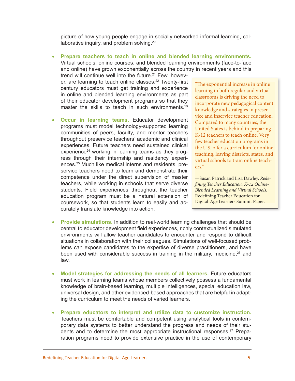picture of how young people engage in socially networked informal learning, collaborative inquiry, and problem solving.<sup>20</sup>

• **Prepare teachers to teach in online and blended learning environments.** Virtual schools, online courses, and blended learning environments (face-to-face and online) have grown exponentially across the country in recent years and this

trend will continue well into the future.<sup>21</sup> Few, however, are learning to teach online classes.<sup>22</sup> Twenty-first century educators must get training and experience in online and blended learning environments as part of their educator development programs so that they master the skills to teach in such environments.<sup>23</sup>

**Occur in learning teams.** Educator development programs must model technology-supported learning communities of peers, faculty, and mentor teachers throughout preservice teachers' academic and clinical experiences. Future teachers need sustained clinical experience<sup>24</sup> working in learning teams as they progress through their internship and residency experiences.25 Much like medical interns and residents, preservice teachers need to learn and demonstrate their competence under the direct supervision of master teachers, while working in schools that serve diverse students. Field experiences throughout the teacher education program must be a natural extension of coursework, so that students learn to easily and accurately translate knowledge into action.

"The exponential increase in online learning in both regular and virtual classrooms is driving the need to incorporate new pedagogical content knowledge and strategies in preservice and inservice teacher education. Compared to many countries, the United States is behind in preparing K-12 teachers to teach online. Very few teacher education programs in the U.S. offer a curriculum for online teaching, leaving districts, states, and virtual schools to train online teachers."

—Susan Patrick and Lisa Dawley. *Redefining Teacher Education: K-12 Online-Blended Learning and Virtual Schools*. Redefining Teacher Education for Digital-Age Learners Summit Paper.

- **Provide simulations.** In addition to real-world learning challenges that should be central to educator development field experiences, richly contextualized simulated environments will allow teacher candidates to encounter and respond to difficult situations in collaboration with their colleagues. Simulations of well-focused problems can expose candidates to the expertise of diverse practitioners, and have been used with considerable success in training in the military, medicine, $26$  and law.
- • **Model strategies for addressing the needs of all learners.** Future educators must work in learning teams whose members collectively possess a fundamental knowledge of brain-based learning, multiple intelligences, special education law, universal design, and other evidenced-based approaches that are helpful in adapting the curriculum to meet the needs of varied learners.
- **Prepare educators to interpret and utilize data to customize instruction.** Teachers must be comfortable and competent using analytical tools in contemporary data systems to better understand the progress and needs of their students and to determine the most appropriate instructional responses.<sup>27</sup> Preparation programs need to provide extensive practice in the use of contemporary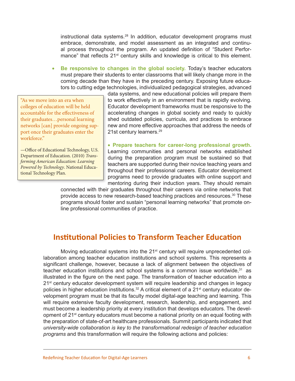instructional data systems.<sup>28</sup> In addition, educator development programs must embrace, demonstrate, and model assessment as an integrated and continual process throughout the program. An updated definition of "Student Performance" that reflects 21<sup>st</sup> century skills and knowledge is critical to this element.

• **Be responsive to changes in the global society.** Today's teacher educators must prepare their students to enter classrooms that will likely change more in the coming decade than they have in the preceding century. Exposing future educators to cutting edge technologies, individualized pedagogical strategies, advanced

"As we move into an era when colleges of education will be held accountable for the effectiveness of their graduates…personal learning networks [can] provide ongoing support once their graduates enter the workforce."

—Office of Educational Technology, U.S. Department of Education. (2010) *Transforming American Education: Learning Powered by Technology*. National Educational Technology Plan.

data systems, and new educational policies will prepare them to work effectively in an environment that is rapidly evolving. Educator development frameworks must be responsive to the accelerating changes in global society and ready to quickly shed outdated policies, curricula, and practices to embrace new and more effective approaches that address the needs of 21st century learners.29

• **Prepare teachers for career-long professional growth.** Learning communities and personal networks established during the preparation program must be sustained so that teachers are supported during their novice teaching years and throughout their professional careers. Educator development programs need to provide graduates with online support and mentoring during their induction years. They should remain

connected with their graduates throughout their careers via online networks that provide access to new research-based teaching practices and resources.<sup>30</sup> These programs should foster and sustain "personal learning networks" that promote online professional communities of practice.

## **Institutional Policies to Transform Teacher Education**

Moving educational systems into the 21<sup>st</sup> century will require unprecedented collaboration among teacher education institutions and school systems. This represents a significant challenge, however, because a lack of alignment between the objectives of teacher education institutions and school systems is a common issue worldwide. $31$  as illustrated in the figure on the next page. The transformation of teacher education into a 21<sup>st</sup> century educator development system will require leadership and changes in legacy policies in higher education institutions.<sup>32</sup> A critical element of a 21<sup>st</sup> century educator development program must be that its faculty model digital-age teaching and learning. This will require extensive faculty development, research, leadership, and engagement, and must become a leadership priority at every institution that develops educators. The development of 21<sup>st</sup> century educators must become a national priority on an equal footing with the preparation of state-of-art healthcare professionals. Summit participants indicated that *university-wide collaboration is key to the transformational redesign of teacher education programs* and this transformation will require the following actions and policies: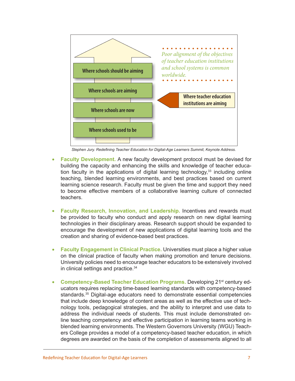

*Stephen Jury. Redefining Teacher Education for Digital-Age Learners Summit, Keynote Address.*

- **Faculty Development.** A new faculty development protocol must be devised for building the capacity and enhancing the skills and knowledge of teacher education faculty in the applications of digital learning technology, $33$  including online teaching, blended learning environments, and best practices based on current learning science research. Faculty must be given the time and support they need to become effective members of a collaborative learning culture of connected teachers.
- **Faculty Research, Innovation, and Leadership. Incentives and rewards must** be provided to faculty who conduct and apply research on new digital learning technologies in their disciplinary areas. Research support should be expanded to encourage the development of new applications of digital learning tools and the creation and sharing of evidence-based best practices.
- **Faculty Engagement in Clinical Practice.** Universities must place a higher value on the clinical practice of faculty when making promotion and tenure decisions. University policies need to encourage teacher educators to be extensively involved in clinical settings and practice.<sup>34</sup>
- **Competency-Based Teacher Education Programs.** Developing 21<sup>st</sup> century educators requires replacing time-based learning standards with competency-based standards.35 Digital-age educators need to demonstrate essential competencies that include deep knowledge of content areas as well as the effective use of technology tools, pedagogical strategies, and the ability to interpret and use data to address the individual needs of students. This must include demonstrated online teaching competency and effective participation in learning teams working in blended learning environments. The Western Governors University (WGU) Teachers College provides a model of a competency-based teacher education, in which degrees are awarded on the basis of the completion of assessments aligned to all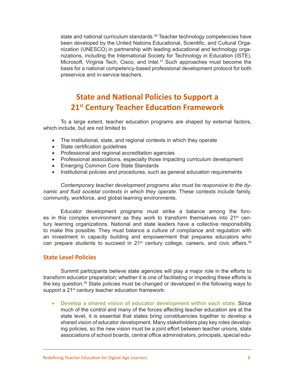state and national curriculum standards.<sup>36</sup> Teacher technology competencies have been developed by the United Nations Educational, Scientific, and Cultural Organization (UNESCO) in partnership with leading educational and technology organizations, including the International Society for Technology in Education (ISTE), Microsoft, Virginia Tech, Cisco, and Intel.<sup>37</sup> Such approaches must become the basis for a national competency-based professional development protocol for both preservice and in-service teachers.

## **State and National Policies to Support a 21st Century Teacher Education Framework**

To a large extent, teacher education programs are shaped by external factors, which include, but are not limited to

- The institutional, state, and regional contexts in which they operate
- State certification guidelines
- Professional and regional accreditation agencies
- Professional associations, especially those impacting curriculum development
- • Emerging Common Core State Standards
- Institutional policies and procedures, such as general education requirements

*Contemporary teacher development programs also must be responsive to the dynamic and fluid societal contexts in which they operate.* These contexts include family, community, workforce, and global learning environments.

Educator development programs must strike a balance among the forces in this complex environment as they work to transform themselves into  $21<sup>st</sup>$  century learning organizations. National and state leaders have a collective responsibility to make this possible. They must balance a culture of compliance and regulation with an investment in capacity building and empowerment that prepares educators who can prepare students to succeed in  $21<sup>st</sup>$  century college, careers, and civic affairs.<sup>38</sup>

#### **State Level Policies**

Summit participants believe state agencies will play a major role in the efforts to transform educator preparation; whether it is one of facilitating or impeding these efforts is the key question.39 State policies must be changed or developed in the following ways to support a 21<sup>st</sup> century teacher education framework:

• **Develop a shared vision of educator development within each state.** Since much of the control and many of the forces affecting teacher education are at the state level, it is essential that states bring constituencies together to develop a shared vision of educator development. Many stakeholders play key roles developing policies, so the new vision must be a joint effort between teacher unions, state associations of school boards, central office administrators, principals, special edu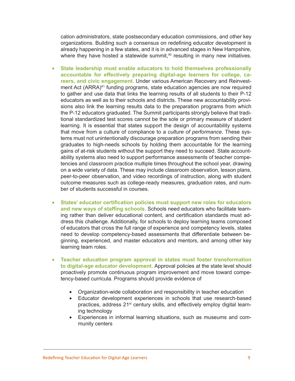cation administrators, state postsecondary education commissions, and other key organizations. Building such a consensus on redefining educator development is already happening in a few states, and it is in advanced stages in New Hampshire, where they have hosted a statewide summit, $40$  resulting in many new initiatives.

- • **State leadership must enable educators to hold themselves professionally accountable for effectively preparing digital-age learners for college, careers, and civic engagement.** Under various American Recovery and Reinvestment Act (ARRA)<sup>41</sup> funding programs, state education agencies are now required to gather and use data that links the learning results of all students to their P-12 educators as well as to their schools and districts. These new accountability provisions also link the learning results data to the preparation programs from which the P-12 educators graduated. The Summit participants strongly believe that traditional standardized test scores cannot be the sole or primary measure of student learning. It is essential that states support the design of accountability systems that move from a culture of compliance to a *culture of performance*. These systems must not unintentionally discourage preparation programs from sending their graduates to high-needs schools by holding them accountable for the learning gains of at-risk students without the support they need to succeed. State accountability systems also need to support performance assessments of teacher competencies and classroom practice multiple times throughout the school year, drawing on a wide variety of data. These may include classroom observation, lesson plans, peer-to-peer observation, and video recordings of instruction, along with student outcome measures such as college-ready measures, graduation rates, and number of students successful in courses.
- • **States' educator certification policies must support new roles for educators and new ways of staffing schools.** Schools need educators who facilitate learning rather than deliver educational content, and certification standards must address this challenge. Additionally, for schools to deploy learning teams composed of educators that cross the full range of experience and competency levels, states need to develop competency-based assessments that differentiate between beginning, experienced, and master educators and mentors, and among other key learning team roles.
- • **Teacher education program approval in states must foster transformation to digital-age educator development.** Approval policies at the state level should proactively promote continuous program improvement and move toward competency-based curricula. Programs should provide evidence of
	- Organization-wide collaboration and responsibility in teacher education
	- Educator development experiences in schools that use research-based practices, address 21<sup>st</sup> century skills, and effectively employ digital learning technology
	- • Experiences in informal learning situations, such as museums and community centers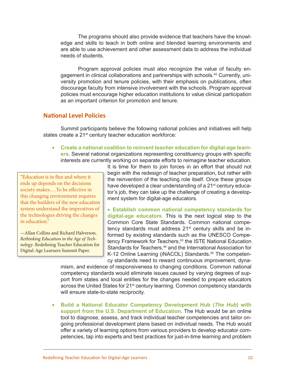The programs should also provide evidence that teachers have the knowledge and skills to teach in both online and blended learning environments and are able to use achievement and other assessment data to address the individual needs of students.

Program approval policies must also recognize the value of faculty engagement in clinical collaborations and partnerships with schools.<sup>42</sup> Currently, university promotion and tenure policies, with their emphasis on publications, often discourage faculty from intensive involvement with the schools. Program approval policies must encourage higher education institutions to value clinical participation as an important criterion for promotion and tenure.

#### **National Level Policies**

Summit participants believe the following national policies and initiatives will help states create a 21<sup>st</sup> century teacher education workforce:

#### **• Create a national coalition to reinvent teacher education for digital-age learners.** Several national organizations representing constituency groups with specific interests are currently working on separate efforts to reimagine teacher education.

"Education is in flux and where it ends up depends on the decisions society makes.…To be effective in this changing environment requires that the builders of the new education system understand the imperatives of the technologies driving the changes in education"

—Allan Collins and Richard Halverson. *Rethinking Education in the Age of Technology*. Redefining Teacher Education for Digital-Age Learners Summit Paper.

It is time for them to join forces in an effort that should not begin with the redesign of teacher preparation, but rather with the reinvention of the teaching role itself. Once these groups have developed a clear understanding of a 21<sup>st</sup> century educator's job, they can take up the challenge of creating a development system for digital-age educators.

• **Establish common national competency standards for digital-age educators**. This is the next logical step to the Common Core State Standards. Common national competency standards must address 21<sup>st</sup> century skills and be informed by existing standards such as the UNESCO Competency Framework for Teachers,<sup>43</sup> the ISTE National Education Standards for Teachers,<sup>44</sup> and the International Association for K-12 Online Learning (iNACOL) Standards.<sup>45</sup> The competency standards need to reward continuous improvement, dyna-

mism, and evidence of responsiveness to changing conditions. Common national competency standards would eliminate issues caused by varying degrees of support from states and local entities for the changes needed to prepare educators across the United States for 21<sup>st</sup> century learning. Common competency standards will ensure state-to-state reciprocity.

• **Build a National Educator Competency Development Hub (***The Hub***) with support from the U.S. Department of Education.** The Hub would be an online tool to diagnose, assess, and track individual teacher competencies and tailor ongoing professional development plans based on individual needs. The Hub would offer a variety of learning options from various providers to develop educator competencies, tap into experts and best practices for just-in-time learning and problem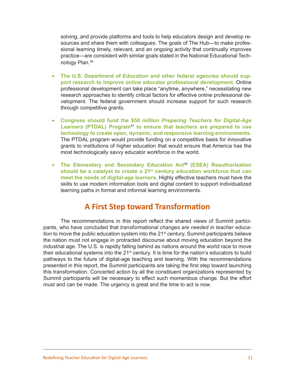solving, and provide platforms and tools to help educators design and develop resources and share them with colleagues. The goals of The Hub—to make professional learning timely, relevant, and an ongoing activity that continually improves practice—are consistent with similar goals stated in the National Educational Technology Plan.46

- The U.S. Department of Education and other federal agencies should sup**port research to improve online educator professional development.** Online professional development can take place "anytime, anywhere," necessitating new research approaches to identify critical factors for effective online professional development. The federal government should increase support for such research through competitive grants.
- • **Congress should fund the \$50 million** *Preparing Teachers for Digital-Age Learners* **(PTDAL) Program**<sup>47</sup> **to ensure that teachers are prepared to use technology to create open, dynamic, and responsive learning environments.** The PTDAL program would provide funding on a competitive basis for innovative grants to institutions of higher education that would ensure that America has the most technologically savvy educator workforce in the world.
- • **The Elementary and Secondary Education Act**<sup>48</sup> **(ESEA) Reauthorization should be a catalyst to create a 21st century education workforce that can meet the needs of digital-age learners.** Highly effective teachers must have the skills to use modern information tools and digital content to support individualized learning paths in formal and informal learning environments.

## **A First Step toward Transformation**

The recommendations in this report reflect the shared views of Summit participants, who have concluded that *transformational changes are needed in teacher education* to move the public education system into the 21<sup>st</sup> century. Summit participants believe the nation must not engage in protracted discourse about moving education beyond the industrial age. The U.S. is rapidly falling behind as nations around the world race to move their educational systems into the 21<sup>st</sup> century. It is time for the nation's educators to build pathways to the future of digital-age teaching and learning. With the recommendations presented in this report, the Summit participants are taking the first step toward launching this transformation. Concerted action by all the constituent organizations represented by Summit participants will be necessary to effect such momentous change. But the effort must and can be made. The urgency is great and the time to act is now.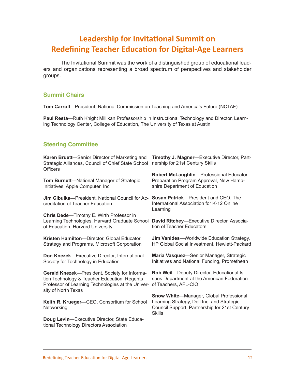## **Leadership for Invitational Summit on Redefining Teacher Education for Digital-Age Learners**

The Invitational Summit was the work of a distinguished group of educational leaders and organizations representing a broad spectrum of perspectives and stakeholder groups.

#### **Summit Chairs**

**Tom Carroll**—President, National Commission on Teaching and America's Future (NCTAF)

**Paul Resta**—Ruth Knight Millikan Professorship in Instructional Technology and Director, Learning Technology Center, College of Education, The University of Texas at Austin

#### **Steering Committee**

| Karen Bruett-Senior Director of Marketing and<br>Strategic Alliances, Council of Chief State School<br><b>Officers</b>                                                    | Timothy J. Magner-Executive Director, Part-<br>nership for 21st Century Skills                                                                          |
|---------------------------------------------------------------------------------------------------------------------------------------------------------------------------|---------------------------------------------------------------------------------------------------------------------------------------------------------|
| Tom Burnett-National Manager of Strategic<br>Initiatives, Apple Computer, Inc.                                                                                            | Robert McLaughlin-Professional Educator<br>Preparation Program Approval, New Hamp-<br>shire Department of Education                                     |
| Jim Cibulka-President, National Council for Ac-<br>creditation of Teacher Education                                                                                       | Susan Patrick-President and CEO, The<br>International Association for K-12 Online<br>Learning                                                           |
| Chris Dede-Timothy E. Wirth Professor in<br>Learning Technologies, Harvard Graduate School<br>of Education, Harvard University                                            | David Ritchey-Executive Director, Associa-<br>tion of Teacher Educators                                                                                 |
| Kristen Hamilton-Director, Global Educator<br>Strategy and Programs, Microsoft Corporation                                                                                | Jim Vanides-Worldwide Education Strategy,<br>HP Global Social Investment, Hewlett-Packard                                                               |
| Don Knezek-Executive Director, International<br>Society for Technology in Education                                                                                       | Maria Vasquez-Senior Manager, Strategic<br>Initiatives and National Funding, Promethean                                                                 |
| Gerald Knezek-President, Society for Informa-<br>tion Technology & Teacher Education, Regents<br>Professor of Learning Technologies at the Univer-<br>sity of North Texas | Rob Weil-Deputy Director, Educational Is-<br>sues Department at the American Federation<br>of Teachers, AFL-CIO                                         |
| Keith R. Krueger-CEO, Consortium for School<br>Networking                                                                                                                 | Snow White-Manager, Global Professional<br>Learning Strategy, Dell Inc. and Strategic<br>Council Support, Partnership for 21st Century<br><b>Skills</b> |
| Doug Levin-Executive Director, State Educa-<br>tional Technology Directors Association                                                                                    |                                                                                                                                                         |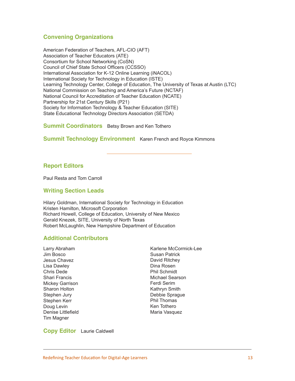#### **Convening Organizations**

American Federation of Teachers, AFL-CIO (AFT) Association of Teacher Educators (ATE) Consortium for School Networking (CoSN) Council of Chief State School Officers (CCSSO) International Association for K-12 Online Learning (iNACOL) International Society for Technology in Education (ISTE) Learning Technology Center, College of Education, The University of Texas at Austin (LTC) National Commission on Teaching and America's Future (NCTAF) National Council for Accreditation of Teacher Education (NCATE) Partnership for 21st Century Skills (P21) Society for Information Technology & Teacher Education (SITE) State Educational Technology Directors Association (SETDA)

#### **Summit Coordinators** Betsy Brown and Ken Tothero

**Summit Technology Environment** Karen French and Royce Kimmons

#### **Report Editors**

Paul Resta and Tom Carroll

#### **Writing Section Leads**

Hilary Goldman, International Society for Technology in Education Kristen Hamilton, Microsoft Corporation Richard Howell, College of Education, University of New Mexico Gerald Knezek, SITE, University of North Texas Robert McLaughlin, New Hampshire Department of Education

#### **Additional Contributors**

Larry Abraham Jim Bosco Jesus Chavez Lisa Dawley Chris Dede Shari Francis Mickey Garrison Sharon Holton Stephen Jury Stephen Kerr Doug Levin Denise Littlefield Tim Magner

Karlene McCormick-Lee Susan Patrick David Ritchey Dina Rosen Phil Schmidt Michael Searson Ferdi Serim Kathryn Smith Debbie Sprague Phil Thomas Ken Tothero Maria Vasquez

#### **Copy Editor** Laurie Caldwell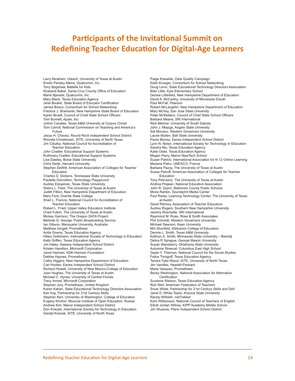## **Participants of the Invitational Summit on Redefining Teacher Education for Digital-Age Learners**

Larry Abraham, Uteach, University of Texas at Austin Kristin Parsley Atkins, Qualcomm, Inc. Tony Bagshaw, Battelle for Kids Rowland Baker, Santa Cruz County Office of Education Marie Bjerede, Qualcomm, Inc. Mary Black, Texas Education Agency Jerel Booker, State Board of Educator Certification James Bosco, Consortium for School Networking Fredrick J. Bramante, New Hampshire State Board of Education Karen Bruett, Council of Chief State School Officers Tom Burnett, Apple, Inc. JoAnn Canales, Texas A&M University at Corpus Christi Tom Carroll, National Commission on Teaching and America's Future Jesus H. Chavez, Round Rock Independent School District Rhonda Christensen, SITE, University of North Texas Jim Cibulka, National Council for Accreditation of Teacher Education John Cradler, Educational Support Systems Ruthmary Cradler, Educational Support Systems Lisa Dawley, Boise State University Chris Dede, Harvard University Stephen DeWitt, American Association of Colleges for Teacher Education Charles D. Dickens, Tennessee State University Paulette Donnellon, Technology Playground Audrey Estupinan, Texas State University Sherry L. Field, The University of Texas at Austin Judith Fillion, New Hampshire Department of Education Mary Ford, Granite State College Shari L. Francis, National Council for Accreditation of Teacher Education Robert L. Fried, Upper Valley Educators Institute Chad Fulton, The University of Texas at Austin Mickey Garrison, The Oregon DATA Project Melinda G. George, Public Broadcasting Service Ian Gibson, Macquarie University, Australia Matthew Gingell, Promethean Anita Givens, Texas Education Agency Hilary Goldmann, International Society of Technology in Education Kelly Griffen, Texas Education Agency Jim Haley, Sweeny Independent School District Kristen Hamilton, Microsoft Corporation Janet Harman, KDK-Harman Foundation Debbie Haynes, Promethean Cathy Higgins, New Hampshire Department of Education Carl Hooker, Eanes Independent School District Richard Howell, University of New Mexico-College of Education Joan Hughes, The University of Texas at Austin Michael C. Hynes, University of Central Florida Tracy Immel, Microsoft Corporation Stephen Jury, Promethean, United Kingdom Karen Kahan, State Educational Technology Directors Association Ken Kay, Partnership for 21st Century Skills Stephen Kerr, University of Washington, College of Education Evgeny Khvilon, Moscow Institute of Open Education, Russia Andrew Kim, Manor Independent School District Don Knezek, International Society for Technology in Education Gerald Knezek, SITE, University of North Texas

Paige Kowalski, Data Quality Campaign Keith Krueger, Consortium for School Networking Doug Levin, State Educational Technology Directors Association Blair Little, Kyle Elementary School Denise Littlefield, New Hampshire Department of Education David A. McCarthy, University of Minnesota Duluth Paul McFall, Pearson Robert McLaughlin, New Hampshire Department of Education Mary McVey, San Jose State University Peter McWalters, Council of Chief State School Officers Barbara Means, SRI International Rick Melmer, University of South Dakota John J. Miazga, Angelo State University Sal Monaco, Western Governors University Laurie Mullen, Ball State University Paula Murray, Eanes Independent School District Lynn N. Nolan, International Society for Technology in Education Sandra Nix, Texas Education Agency Katie Oster, Texas Education Agency Megan Parry, Manor NewTech School Susan Patrick, International Association for K-12 Online Learning Mariana Patru, UNESCO, France Barbara Pazey, The University of Texas at Austin Susan Petroff, American Association of Colleges for Teacher Education Tony Petrosino, The University of Texas at Austin Andrea Prejean, National Education Association John R. Quinn, Baltimore County Public Schools Moira Rankin, Soundprint Media Center Paul Resta, Learning Technology Center, The University of Texas at Austin David Ritchey, Association of Teacher Educators Audrey Rogers, Southern New Hampshire University Jeremy Roschelle, SRI International Raymond M. Rose, Rose & Smith Associates Phil Schmidt, Western Governors University Michael Searson, Kean University Miri Shonfeld, Kibbutzim College of Education Dennie L. Smith, Texas A&M University Kathryn A. Smith, Minnesota State University – Bemidji Debra R Sprague, George Mason University Susan Stansberry, Oklahoma State University Autumne Streeval, Columbus East High School Gayle Y. Thieman, National Council for the Social Studies Felice Trirogoff, Texas Education Agency Tandra Tyler-Wood, SITE, University of North Texas Jim Vanides, Hewlett-Packard Maria Vasquez, Promethean Becky Washington, National Association for Alternative **Certification** Suzanne Watson, Texas Education Agency Rob Weil, American Federation of Teachers Snow White, Partnership for 21st Century Skills and Dell Janel D. White-Taylor, Arizona State University Randy Wilhelm, netTrekker Kent Williamson, National Council of Teachers of English

Elliott Jordan Witney, KIPP Academy Middle School Jim Wussow, Plano Independent School District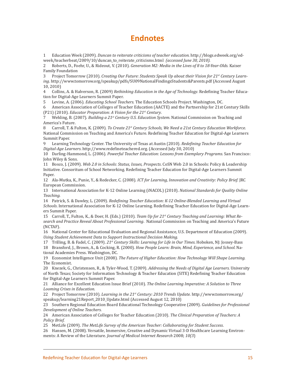## **Endnotes**

1 Education Week (2009). *Duncan to reiterate criticisms of teacher education.* http://blogs.edweek.org/edweek/teacherbeat/2009/10/duncan\_to\_reiterate\_criticisms.html *(accessed June 30, 2010).*

2 Roberts, D., Foehr, U., & Rideout, V. (2010). *Generation M2: Media in the Lives of 8 to 18-Year-Olds*. Kaiser Family Foundation

3 Project Tomorrow (2010). *Creating Our Future: Students Speak Up about their Vision for 21st Century Learning*. http://www.tomorrow.org/speakup/pdfs/SU09NationalFindingsStudents&Parents.pdf (Accessed August 10, 2010)

4 Collins, A. & Halverson, R. (2009) *Rethinking Education in the Age of Technology*. Redefining Teacher Education for Digital-Age Learners Summit Paper*.*

5 Levine, A. (2006). *Educating School Teachers*. The Education Schools Project. Washington, DC.

6 American Association of Colleges of Teacher Education (AACTE) and the Partnership for 21st Century Skills (P21) (2010). *Educator Preparation: A Vision for the 21st Century*.

7 Wehling, B. (2007). *Building a 21st Century U.S. Education System*. National Commission on Teaching and America's Future.<br>8 Carroll. T. & F

8 Carroll, T. & Fulton, K. (2009). *To Create 21st Century Schools, We Need a 21st Century Education Workforce*. National Commission on Teaching and America's Future. Redefining Teacher Education for Digital-Age Learners Summit Paper.<br>9 Learning

9 Learning Technology Center. The University of Texas at Austin (2010). *Redefining Teacher Education for Digital-Age Learners*. http://www.redefineteachered.org. (Accessed July 30, 2010)

10 Darling-Hammond, L. (2006). *Powerful Teacher Education: Lessons from Exemplary Programs.* San Francisco: John Wiley & Sons.

11 Bosco, J. (2009). *Web 2.0 in Schools: Status, Issues, Prospects*. CoSN Web 2.0 in Schools: Policy & Leadership Initiative. Consoritum of School Networking. Redefining Teacher Education for Digital-Age Learners Summit Paper.

12 Ala-Mutka, K., Punie, Y., & Redecker, C. (2008). *ICT for Learning, Innovation and Creativity: Policy Brief*. JRC European Commission.

13 International Association for K-12 Online Learning (iNACOL) (2010). *National Standards for Quality Online Teaching.*

14 Patrick, S. & Dawley, L. (2009). *Redefining Teacher Education: K-12 Online-Blended Learning and Virtual Schools*. International Association for K-12 Online Learning. Redefining Teacher Education for Digital-Age Learners Summit Paper.

15 Carroll, T., Fulton, K., & Doer, H. (Eds.) (2010). *Team Up for 21st Century Teaching and Learning: What Research and Practice Reveal About Professional Learning*. National Commission on Teaching and America's Future (NCTAF).

16 National Center for Educational Evaluation and Regional Assistance, U.S. Department of Education (2009). *Using Student Achievement Data to Support Instructional Decision Making.*

17 Trilling, B. & Fadel, C. (2009). *21st Century Skills: Learning for Life in Our Times*. Hoboken, NJ: Jossey-Bass 18 Bransford, J., Brown, A., & Cocking, R. (2000). *How People Learn: Brain, Mind, Experience, and School*. National Academies Press. Washington, DC.

19 Economist Intelligence Unit (2008). *The Future of Higher Education: How Technology Will Shape Learning*. The Economist.

20 Knezek, G., Christensen, R., & Tyler-Wood, T. (2009). *Addressing the Needs of Digital Age Learners.* University of North Texas; Society for Information Technology & Teacher Education (SITE) Redefining Teacher Education for Digital-Age Learners Summit Paper.

21 Alliance for Excellent Education Issue Brief (2010). *The Online Learning Imperative: A Solution to Three Looming Crises in Education.* 

22 Project Tomorrow (2010). *Learning in the 21st Century: 2010 Trends Update.* http://www.tomorrow.org/ speakup/learning21Report\_2010\_Update.html (Accessed August 12, 2010)

23 Southern Regional Education Board Educational Technology Cooperative (2009). *Guidelines for Professional Development of Online Teachers.*

24 American Association of Colleges for Teacher Education (2010). *The Clinical Preparation of Teachers: A Policy Brief.*

25 MetLife (2009). *The MetLife Survey of the American Teacher: Collaborating for Student Success*.

26 Hansen, M. (2008). Versatile, Immersive, Creative and Dynamic Virtual 3-D Healthcare Learning Environments: A Review of the Literature. *Journal of Medical Internet Research* 2008; *10(3*)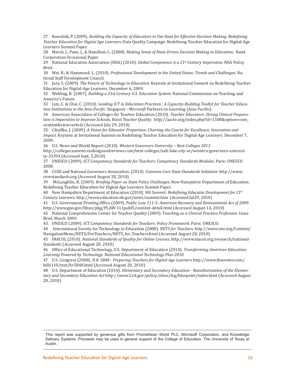27 Kowalski, P. (2009). *Building the Capacity of Educators to Use Data for Effective Decision Making. Redefining Teacher Education for Digital Age Learners*. Data Quality Campaign. Redefining Teacher Education for Digital-Age Learners Summit Paper.

28 Marsh, J., Pane, J., & Hamilton, L. (2008). *Making Sense of Data-Driven Decision Making in Education*. Rand Corporation Occasional Paper.

29 National Education Association (NEA) (2010). *Global Competence is a 21st Century Imperative*. NEA Policy Brief.

30 Wei, R., & Hammond. L. (2010). *Professional Development in the United States: Trends and Challenges.* National Staff Development Council.

31 Jury, S. (2009). *The Future of Technology in Education*. Keynote at Invitational Summit on Redefining Teacher Education for Digital-Age Learners. December 6, 2009.

32 Wehling, B. (2007). *Building a 21st Century U.S. Education System*. National Commission on Teaching and America's Future.

33 Lim, C. & Chai, C. (2010). *Leading ICT in Education Practices : A Capacity*-*Building Toolkit for Teacher Education Institutions in the Asia-Pacific*. Singapore : *Microsoft* Partners-in-Learning (Asia-Pacific).

34 American Association of Colleges for Teacher Education (2010). *Teacher Educators: Strong Clinical Preparation is Imperative to Improve Schools, Boost Teacher Quality*. http://aacte.org/index.php?id=1108&option=com\_ content&view=article (Accessed July 29, 2010)

35 Cibullka, J. (2009). *A Vision for Educator Prepartion: Charting the Course for Excellence, Innovation and Impact*. Keynote at Invitational Summit on Redefining Teacher Education for Digital-Age Learners. December 7, 2009.

36 U.S. News and World Report (2010). *Western Governors University – Best Colleges 2011.*

http://colleges.usnews.rankingsandreviews.com/best-colleges/salt-lake-city-ut/western-governors-university-33394 (Accessed Sept. 5,2010)

37 UNESCO (2009). *ICT Competency Standards for Teachers: Competency Standards Modules*. Paris: UNESCO 2008.

38 CCSO and National Governors Association. (2010). *Common Core State Standards Initiative*. http://www. corestandards.org (Accessed August 28, 2010)

39 McLaughlin, R. (2009). *Briefing Paper on State Policy Challenges*. New Hampshire Department of Education. Redefining Teacher Education for Digital-Age Learners Summit Paper.

40 New Hampshire Department of Education (2010). *NH Summit: Redefining Educator Development for 21st Century Learners*. http://www.education.nh.gov/news/summit.htm (Accessed Jul29, 2010)

41 U.S. Government Printing Office (2009). *Public Law 111-5- American Recovery and Reinvestment Act of 2009*. http://www.gpo.gov/fdsys/pkg/PLAW-111publ5/content-detail.html (Accessed August 14, 2010)

42 National Comprehensive Center for Teacher Quality (2009). T*eaching as a Clinical Practice Profession*. Issue Brief, March 2009.

43 UNESCO (2009). *ICT Competency Standards for Teachers: Policy Framework*. Paris: UNESCO.

44 International Society for Technology in Education (2008). *NETS for Teachers*. http://www.iste.org/Content/ NavigationMenu/NETS/ForTeachers/NETS\_for\_Teachers.html (Accessed August 20, 2010)

45 INACOL (2010). *National Standards of Quality for Online Courses.* http://www.inacol.org/research/nationalstandards (Accessed August 20, 2010)

46 Office of Educational Technology, U.S. Department of Education (2010). *Transforming American Education: Learning Powered by Technology. National Educational Technology Plan 2010*.

47 U.S. Congress (2008). *H.R. 5848 - Preparing Teachers for Digital Age Learners* http://www.theorator.com/ bills110/text/hr5848.html (Accessed August 20, 2010)

48 U.S. Department of Education (2010). *Elementary and Secondary Education - Reauthorization of the Elementary and Secondary Education Act* http://www2.ed.gov/policy/elsec/leg/blueprint/index.html (Accessed August 20, 2010)

This report was supported by generous gifts from Promethean World PLC, Microsoft Corporation, and Knowledge Delivery Systems. Proceeds may be used in general support of the College of Education, The University of Texas at Austin.